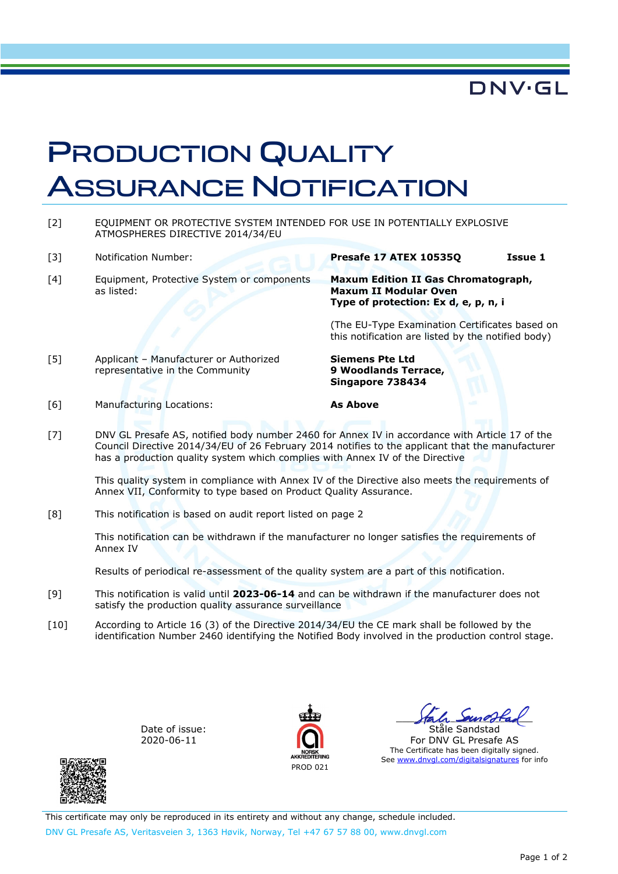## **DNV·GL**

## PRODUCTION QUALITY ASSURANCE NOTIFICATION

[2] EQUIPMENT OR PROTECTIVE SYSTEM INTENDED FOR USE IN POTENTIALLY EXPLOSIVE ATMOSPHERES DIRECTIVE 2014/34/EU

[3] Notification Number: **Presafe 17 ATEX 10535Q Issue 1** 

[4] Equipment, Protective System or components as listed:

## **Maxum Edition II Gas Chromatograph, Maxum II Modular Oven Type of protection: Ex d, e, p, n, i**

(The EU-Type Examination Certificates based on this notification are listed by the notified body)

[5] Applicant – Manufacturer or Authorized representative in the Community

**Siemens Pte Ltd 9 Woodlands Terrace, Singapore 738434** 

- [6] Manufacturing Locations: **As Above**
- [7] DNV GL Presafe AS, notified body number 2460 for Annex IV in accordance with Article 17 of the Council Directive 2014/34/EU of 26 February 2014 notifies to the applicant that the manufacturer has a production quality system which complies with Annex IV of the Directive

This quality system in compliance with Annex IV of the Directive also meets the requirements of Annex VII, Conformity to type based on Product Quality Assurance.

[8] This notification is based on audit report listed on page 2

This notification can be withdrawn if the manufacturer no longer satisfies the requirements of Annex IV

Results of periodical re-assessment of the quality system are a part of this notification.

- [9] This notification is valid until **2023-06-14** and can be withdrawn if the manufacturer does not satisfy the production quality assurance surveillance
- [10] According to Article 16 (3) of the Directive 2014/34/EU the CE mark shall be followed by the identification Number 2460 identifying the Notified Body involved in the production control stage.

PROD 021

Date of issue: 2020-06-11



\_\_\_\_\_\_\_\_\_\_\_\_\_\_\_\_\_\_\_\_\_\_\_

Ståle Sandstad For DNV GL Presafe AS The Certificate has been digitally signed. See www.dnvgl.com/digitalsignatures for info

This certificate may only be reproduced in its entirety and without any change, schedule included. DNV GL Presafe AS, Veritasveien 3, 1363 Høvik, Norway, Tel +47 67 57 88 00, www.dnvgl.com